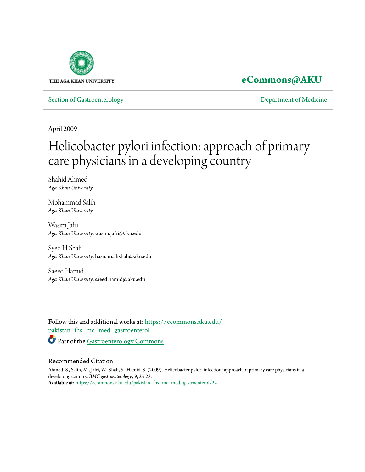

## **[eCommons@AKU](https://ecommons.aku.edu?utm_source=ecommons.aku.edu%2Fpakistan_fhs_mc_med_gastroenterol%2F22&utm_medium=PDF&utm_campaign=PDFCoverPages)**

[Section of Gastroenterology](https://ecommons.aku.edu/pakistan_fhs_mc_med_gastroenterol?utm_source=ecommons.aku.edu%2Fpakistan_fhs_mc_med_gastroenterol%2F22&utm_medium=PDF&utm_campaign=PDFCoverPages) [Department of Medicine](https://ecommons.aku.edu/pakistan_fhs_mc_med?utm_source=ecommons.aku.edu%2Fpakistan_fhs_mc_med_gastroenterol%2F22&utm_medium=PDF&utm_campaign=PDFCoverPages)

April 2009

# Helicobacter pylori infection: approach of primary care physicians in a developing country

Shahid Ahmed *Aga Khan University*

Mohammad Salih *Aga Khan University*

Wasim Jafri *Aga Khan University*, wasim.jafri@aku.edu

Syed H Shah *Aga Khan University*, hasnain.alishah@aku.edu

Saeed Hamid *Aga Khan University*, saeed.hamid@aku.edu

Follow this and additional works at: [https://ecommons.aku.edu/](https://ecommons.aku.edu/pakistan_fhs_mc_med_gastroenterol?utm_source=ecommons.aku.edu%2Fpakistan_fhs_mc_med_gastroenterol%2F22&utm_medium=PDF&utm_campaign=PDFCoverPages) [pakistan\\_fhs\\_mc\\_med\\_gastroenterol](https://ecommons.aku.edu/pakistan_fhs_mc_med_gastroenterol?utm_source=ecommons.aku.edu%2Fpakistan_fhs_mc_med_gastroenterol%2F22&utm_medium=PDF&utm_campaign=PDFCoverPages) Part of the [Gastroenterology Commons](http://network.bepress.com/hgg/discipline/687?utm_source=ecommons.aku.edu%2Fpakistan_fhs_mc_med_gastroenterol%2F22&utm_medium=PDF&utm_campaign=PDFCoverPages)

#### Recommended Citation

Ahmed, S., Salih, M., Jafri, W., Shah, S., Hamid, S. (2009). Helicobacter pylori infection: approach of primary care physicians in a developing country. *BMC gastroenterology., 9*, 23-23. **Available at:** [https://ecommons.aku.edu/pakistan\\_fhs\\_mc\\_med\\_gastroenterol/22](https://ecommons.aku.edu/pakistan_fhs_mc_med_gastroenterol/22)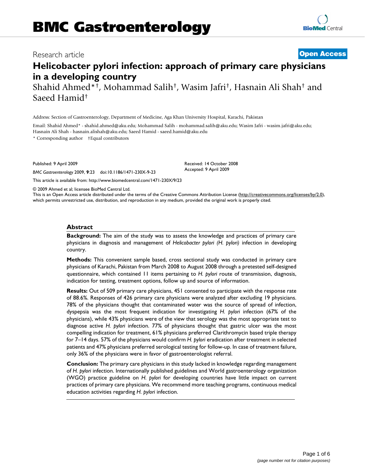### Research article **[Open Access](http://www.biomedcentral.com/info/about/charter/)**

## **Helicobacter pylori infection: approach of primary care physicians in a developing country**

Shahid Ahmed\*†, Mohammad Salih†, Wasim Jafri†, Hasnain Ali Shah† and Saeed Hamid†

Address: Section of Gastroenterology, Department of Medicine, Aga Khan University Hospital, Karachi, Pakistan

Email: Shahid Ahmed\* - shahid.ahmed@aku.edu; Mohammad Salih - mohammad.salih@aku.edu; Wasim Jafri - wasim.jafri@aku.edu; Hasnain Ali Shah - hasnain.alishah@aku.edu; Saeed Hamid - saeed.hamid@aku.edu

\* Corresponding author †Equal contributors

Published: 9 April 2009

*BMC Gastroenterology* 2009, **9**:23 doi:10.1186/1471-230X-9-23

[This article is available from: http://www.biomedcentral.com/1471-230X/9/23](http://www.biomedcentral.com/1471-230X/9/23)

© 2009 Ahmed et al; licensee BioMed Central Ltd.

This is an Open Access article distributed under the terms of the Creative Commons Attribution License [\(http://creativecommons.org/licenses/by/2.0\)](http://creativecommons.org/licenses/by/2.0), which permits unrestricted use, distribution, and reproduction in any medium, provided the original work is properly cited.

#### **Abstract**

**Background:** The aim of the study was to assess the knowledge and practices of primary care physicians in diagnosis and management of *Helicobacter pylori (H. pylori)* infection in developing country.

**Methods:** This convenient sample based, cross sectional study was conducted in primary care physicians of Karachi, Pakistan from March 2008 to August 2008 through a pretested self-designed questionnaire, which contained 11 items pertaining to *H. pylori* route of transmission, diagnosis, indication for testing, treatment options, follow up and source of information.

**Results:** Out of 509 primary care physicians, 451 consented to participate with the response rate of 88.6%. Responses of 426 primary care physicians were analyzed after excluding 19 physicians. 78% of the physicians thought that contaminated water was the source of spread of infection, dyspepsia was the most frequent indication for investigating *H. pylori* infection (67% of the physicians), while 43% physicians were of the view that serology was the most appropriate test to diagnose active *H. pylori* infection. 77% of physicians thought that gastric ulcer was the most compelling indication for treatment, 61% physicians preferred Clarithromycin based triple therapy for 7–14 days. 57% of the physicians would confirm *H. pylori* eradication after treatment in selected patients and 47% physicians preferred serological testing for follow-up. In case of treatment failure, only 36% of the physicians were in favor of gastroenterologist referral.

**Conclusion:** The primary care physicians in this study lacked in knowledge regarding management of *H. pylori* infection. Internationally published guidelines and World gastroenterology organization (WGO) practice guideline on *H. pylori* for developing countries have little impact on current practices of primary care physicians. We recommend more teaching programs, continuous medical education activities regarding *H. pylori* infection.

Received: 14 October 2008 Accepted: 9 April 2009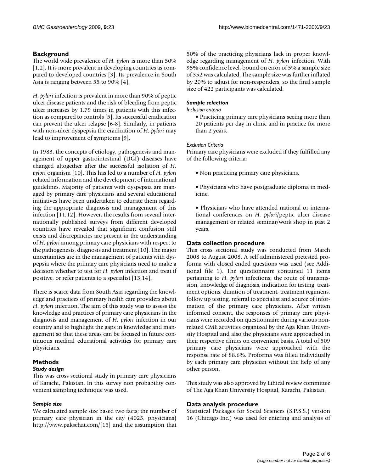#### **Background**

The world wide prevalence of *H. pylori* is more than 50% [[1](#page-6-0)[,2\]](#page-6-1). It is more prevalent in developing countries as compared to developed countries [[3](#page-6-2)]. Its prevalence in South Asia is ranging between 55 to 90% [\[4\]](#page-6-3).

*H. pylori* infection is prevalent in more than 90% of peptic ulcer disease patients and the risk of bleeding from peptic ulcer increases by 1.79 times in patients with this infection as compared to controls [[5](#page-6-4)]. Its successful eradication can prevent the ulcer relapse [\[6-](#page-6-5)[8](#page-6-6)]. Similarly, in patients with non-ulcer dyspepsia the eradication of *H. pylori* may lead to improvement of symptoms [\[9\]](#page-6-7).

In 1983, the concepts of etiology, pathogenesis and management of upper gastrointestinal (UGI) diseases have changed altogether after the successful isolation of *H. pylori* organism [[10](#page-6-8)]. This has led to a number of *H. pylori* related information and the development of international guidelines. Majority of patients with dyspepsia are managed by primary care physicians and several educational initiatives have been undertaken to educate them regarding the appropriate diagnosis and management of this infection [[11](#page-6-9)[,12\]](#page-6-10). However, the results from several internationally published surveys from different developed countries have revealed that significant confusion still exists and discrepancies are present in the understanding of *H. pylori* among primary care physicians with respect to the pathogenesis, diagnosis and treatment [[10\]](#page-6-8). The major uncertainties are in the management of patients with dyspepsia where the primary care physicians need to make a decision whether to test for *H. pylori* infection and treat if positive, or refer patients to a specialist [[13](#page-6-11),[14\]](#page-6-12).

There is scarce data from South Asia regarding the knowledge and practices of primary health care providers about *H. pylori* infection. The aim of this study was to assess the knowledge and practices of primary care physicians in the diagnosis and management of *H. pylori* infection in our country and to highlight the gaps in knowledge and management so that these areas can be focused in future continuous medical educational activities for primary care physicians.

## **Methods**

#### *Study design*

This was cross sectional study in primary care physicians of Karachi, Pakistan. In this survey non probability convenient sampling technique was used.

#### *Sample size*

We calculated sample size based two facts; the number of primary care physician in the city (4025, physicians) <http://www.paksehat.com/>[[15](#page-6-13)] and the assumption that 50% of the practicing physicians lack in proper knowledge regarding management of *H. pylori* infection. With 95% confidence level, bound on error of 5% a sample size of 352 was calculated. The sample size was further inflated by 20% to adjust for non-responders, so the final sample size of 422 participants was calculated.

#### *Sample selection*

#### *Inclusion criteria*

• Practicing primary care physicians seeing more than 20 patients per day in clinic and in practice for more than 2 years.

#### *Exclusion Criteria*

Primary care physicians were excluded if they fulfilled any of the following criteria;

- Non practicing primary care physicians,
- Physicians who have postgraduate diploma in medicine,
- Physicians who have attended national or international conferences on *H. pylori*/peptic ulcer disease management or related seminar/work shop in past 2 years.

#### **Data collection procedure**

This cross sectional study was conducted from March 2008 to August 2008. A self administered pretested proforma with closed ended questions was used (see Additional file [1\)](#page-6-14). The questionnaire contained 11 items pertaining to *H. pylori* infections; the route of transmission, knowledge of diagnosis, indication for testing, treatment options, duration of treatment, treatment regimens, follow up testing, referral to specialist and source of information of the primary care physicians. After written informed consent, the responses of primary care physicians were recorded on questionnaire during various nonrelated CME activities organized by the Aga Khan University Hospital and also the physicians were approached in their respective clinics on convenient basis. A total of 509 primary care physicians were approached with the response rate of 88.6%. Proforma was filled individually by each primary care physician without the help of any other person.

This study was also approved by Ethical review committee of The Aga Khan University Hospital, Karachi, Pakistan.

#### **Data analysis procedure**

Statistical Packages for Social Sciences (S.P.S.S.) version 16 (Chicago Inc.) was used for entering and analysis of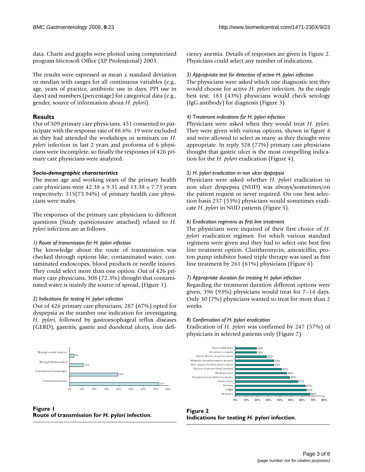data. Charts and graphs were plotted using computerized program Microsoft Office (XP Professional) 2003.

The results were expressed as mean  $\pm$  standard deviation or median with ranges for all continuous variables (e.g., age, years of practice, antibiotic use in days, PPI use in days) and numbers (percentage) for categorical data (e.g., gender, source of information about *H. pylori*).

#### **Results**

Out of 509 primary care physicians, 451 consented to participate with the response rate of 88.6%. 19 were excluded as they had attended the workshops or seminars on *H. pylori* infection in last 2 years and proforma of 6 physicians were incomplete, so finally the responses of 426 primary care physicians were analyzed.

#### *Socio-demographic characteristics*

The mean age and working years of the primary health care physicians were  $42.38 \pm 9.31$  and  $13.38 \pm 7.73$  years respectively; 315(73.94%) of primary health care physicians were males.

The responses of the primary care physicians to different questions (Study questionnaire attached) related to *H. pylori* infection are as follows:

#### *1) Route of transmission for H. pylori infection*

The knowledge about the route of transmission was checked through options like, contaminated water, contaminated endoscopes, blood products or needle injures. They could select more than one option. Out of 426 primary care physicians, 308 (72.3%) thought that contaminated water is mainly the source of spread, (Figure [1](#page-3-0)).

#### *2) Indications for testing H. pylori infection*

Out of 426 primary care physicians, 287 (67%) opted for dyspepsia as the number one indication for investigating *H. pylori*, followed by gastroesophageal reflux diseases (GERD), gastritis, gastric and duodenal ulcers, iron deficiency anemia. Details of responses are given in Figure [2.](#page-3-1) Physicians could select any number of indications.

#### *3) Appropriate test for detection of active H. pylori infection*

The physicians were asked which one diagnostic test they would choose for active *H. pylori* infection. As the single best test; 183 (43%) physicians would check serology (IgG antibody) for diagnosis (Figure [3\)](#page-4-0).

#### *4) Treatment indications for H. pylori infection*

Physicians were asked when they would treat *H. pylori*. They were given with various options, shown in figure [4](#page-4-1) and were allowed to select as many as they thought were appropriate. In reply 328 (77%) primary care physicians thought that gastric ulcer is the most compelling indication for the *H. pylori* eradication (Figure [4](#page-4-1)).

#### *5) H. pylori eradication in non ulcer dyspepsia*

Physicians were asked whether *H. pylori* eradication in non ulcer dyspepsia (NUD) was always/sometimes/on the patient request or never required. On one best selection basis 237 (55%) physicians would sometimes eradicate *H. pylori* in NUD patients (Figure [5](#page-4-2)).

#### *6) Eradication regimens as first line treatment*

The physicians were inquired of their first choice of *H. pylori* eradication regimen. For which various standard regimens were given and they had to select one best first line treatment option. Clarithromycin, amoxicillin, proton pump inhibitor based triple therapy was used as first line treatment by 261 (61%) physicians (Figure [6\)](#page-5-0).

#### *7) Appropriate duration for treating H. pylori infection*

Regarding the treatment duration different options were given, 396 (93%) physicians would treat for 7–14 days. Only 30 (7%) physicians wanted to treat for more than 2 weeks.

#### *8) Confirmation of H. pylori eradication*

Eradication of *H. pylori* was confirmed by 247 (57%) of physicians in selected patients only (Figure [7](#page-5-1)).

<span id="page-3-0"></span>

**Figure 1 Route of transmission for** *H. pylori* **infection**.

<span id="page-3-1"></span>

**Figure 2 Indications for testing** *H. pylori* **infection**.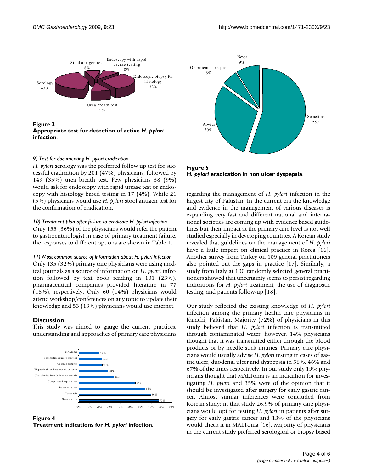<span id="page-4-0"></span>

**Appropriate test for detection of active** *H. pylori*  **infection**.

#### *9) Test for documenting H. pylori eradication*

*H. pylori* serology was the preferred follow up test for successful eradication by 201 (47%) physicians, followed by 149 (35%) urea breath test. Few physicians 38 (9%) would ask for endoscopy with rapid urease test or endoscopy with histology based testing in 17 (4%). While 21 (5%) physicians would use *H. pylori* stool antigen test for the confirmation of eradication.

#### *10) Treatment plan after failure to eradicate H. pylori infection*

Only 155 (36%) of the physicians would refer the patient to gastroenterologist in case of primary treatment failure, the responses to different options are shown in Table [1](#page-6-15).

*11) Most common source of information about H. pylori infection* Only 135 (32%) primary care physicians were using medical journals as a source of information on *H. pylori* infection followed by text book reading in 101 (23%), pharmaceutical companies provided literature in 77 (18%), respectively. Only 60 (14%) physicians would attend workshop/conferences on any topic to update their knowledge and 53 (13%) physicians would use internet.

#### **Discussion**

This study was aimed to gauge the current practices, understanding and approaches of primary care physicians

<span id="page-4-1"></span>

Figure 4 **Treatment indications for** *H. pylori* **infection**.

<span id="page-4-2"></span>

**Figure 5** *H. pylori* **eradication in non ulcer dyspepsia**.

regarding the management of *H. pylori* infection in the largest city of Pakistan. In the current era the knowledge and evidence in the management of various diseases is expanding very fast and different national and international societies are coming up with evidence based guidelines but their impact at the primary care level is not well studied especially in developing countries. A Korean study revealed that guidelines on the management of *H. pylori* have a little impact on clinical practice in Korea [\[16](#page-6-16)]. Another survey from Turkey on 109 general practitioners also pointed out the gaps in practice [[17\]](#page-6-17). Similarly, a study from Italy at 100 randomly selected general practitioners showed that uncertainty seems to persist regarding indications for *H. pylori* treatment, the use of diagnostic testing, and patients follow-up [[18\]](#page-6-18).

Our study reflected the existing knowledge of *H. pylori* infection among the primary health care physicians in Karachi, Pakistan. Majority (72%) of physicians in this study believed that *H. pylori* infection is transmitted through contaminated water; however, 14% physicians thought that it was transmitted either through the blood products or by needle stick injuries. Primary care physicians would usually advise *H. pylori* testing in cases of gastric ulcer, duodenal ulcer and dyspepsia in 56%, 46% and 67% of the times respectively. In our study only 19% physicians thought that MALToma is an indication for investigating *H. pylori* and 35% were of the opinion that it should be investigated after surgery for early gastric cancer. Almost similar inferences were concluded from Korean study; in that study 26.9% of primary care physicians would opt for testing *H. pylori* in patients after surgery for early gastric cancer and 13% of the physicians would check it in MALToma [\[16](#page-6-16)]. Majority of physicians in the current study preferred serological or biopsy based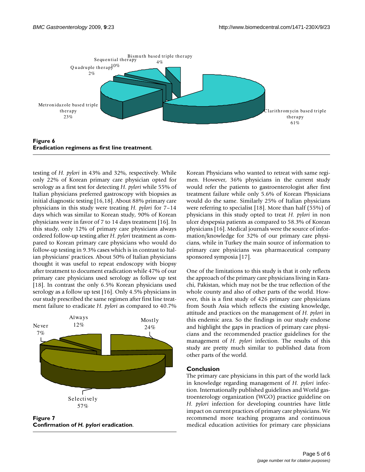<span id="page-5-0"></span>

testing of *H. pylori* in 43% and 32%, respectively. While only 22% of Korean primary care physician opted for serology as a first test for detecting *H. pylori* while 55% of Italian physicians preferred gastroscopy with biopsies as initial diagnostic testing [\[16](#page-6-16),[18](#page-6-18)]. About 88% primary care physicians in this study were treating *H. pylori* for 7–14 days which was similar to Korean study, 90% of Korean physicians were in favor of 7 to 14 days treatment [\[16\]](#page-6-16). In this study, only 12% of primary care physicians always ordered follow-up testing after *H. pylori* treatment as compared to Korean primary care physicians who would do follow-up testing in 9.3% cases which is in contrast to Italian physicians' practices. About 50% of Italian physicians thought it was useful to repeat endoscopy with biopsy after treatment to document eradication while 47% of our primary care physicians used serology as follow up test [[18](#page-6-18)]. In contrast the only 6.5% Korean physicians used serology as a follow up test [[16\]](#page-6-16). Only 4.5% physicians in our study prescribed the same regimen after first line treatment failure to eradicate *H. pylori* as compared to 40.7%

<span id="page-5-1"></span>

**Figure 7 Confirmation of** *H. pylori* **eradication**.

Korean Physicians who wanted to retreat with same regimen. However, 36% physicians in the current study would refer the patients to gastroenterologist after first treatment failure while only 5.6% of Korean Physicians would do the same. Similarly 25% of Italian physicians were referring to specialist [[18\]](#page-6-18). More than half (55%) of physicians in this study opted to treat *H. pylori* in non ulcer dyspepsia patients as compared to 58.3% of Korean physicians [[16](#page-6-16)]. Medical journals were the source of information/knowledge for 32% of our primary care physicians, while in Turkey the main source of information to primary care physicians was pharmaceutical company sponsored symposia [[17\]](#page-6-17).

One of the limitations to this study is that it only reflects the approach of the primary care physicians living in Karachi, Pakistan, which may not be the true reflection of the whole county and also of other parts of the world. However, this is a first study of 426 primary care physicians from South Asia which reflects the existing knowledge, attitude and practices on the management of *H. pylori* in this endemic area. So the findings in our study endorse and highlight the gaps in practices of primary care physicians and the recommended practice guidelines for the management of *H. pylori* infection. The results of this study are pretty much similar to published data from other parts of the world.

#### **Conclusion**

The primary care physicians in this part of the world lack in knowledge regarding management of *H. pylori* infection. Internationally published guidelines and World gastroenterology organization (WGO) practice guideline on *H. pylori* infection for developing countries have little impact on current practices of primary care physicians. We recommend more teaching programs and continuous medical education activities for primary care physicians